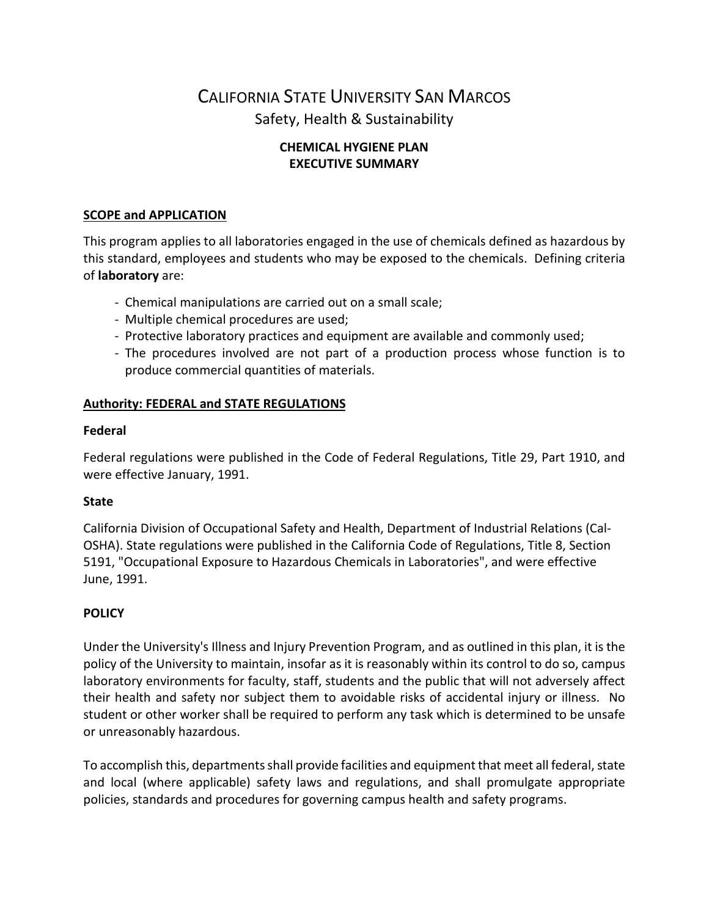# CALIFORNIA STATE UNIVERSITY SAN MARCOS Safety, Health & Sustainability

## **CHEMICAL HYGIENE PLAN EXECUTIVE SUMMARY**

## **SCOPE and APPLICATION**

This program applies to all laboratories engaged in the use of chemicals defined as hazardous by this standard, employees and students who may be exposed to the chemicals. Defining criteria of **laboratory** are:

- Chemical manipulations are carried out on a small scale;
- Multiple chemical procedures are used;
- Protective laboratory practices and equipment are available and commonly used;
- The procedures involved are not part of a production process whose function is to produce commercial quantities of materials.

## **Authority: FEDERAL and STATE REGULATIONS**

#### **Federal**

Federal regulations were published in the Code of Federal Regulations, Title 29, Part 1910, and were effective January, 1991.

#### **State**

California Division of Occupational Safety and Health, Department of Industrial Relations (Cal-OSHA). State regulations were published in the California Code of Regulations, Title 8, Section 5191, "Occupational Exposure to Hazardous Chemicals in Laboratories", and were effective June, 1991.

## **POLICY**

Under the University's Illness and Injury Prevention Program, and as outlined in this plan, it is the policy of the University to maintain, insofar as it is reasonably within its control to do so, campus laboratory environments for faculty, staff, students and the public that will not adversely affect their health and safety nor subject them to avoidable risks of accidental injury or illness. No student or other worker shall be required to perform any task which is determined to be unsafe or unreasonably hazardous.

To accomplish this, departments shall provide facilities and equipment that meet all federal, state and local (where applicable) safety laws and regulations, and shall promulgate appropriate policies, standards and procedures for governing campus health and safety programs.